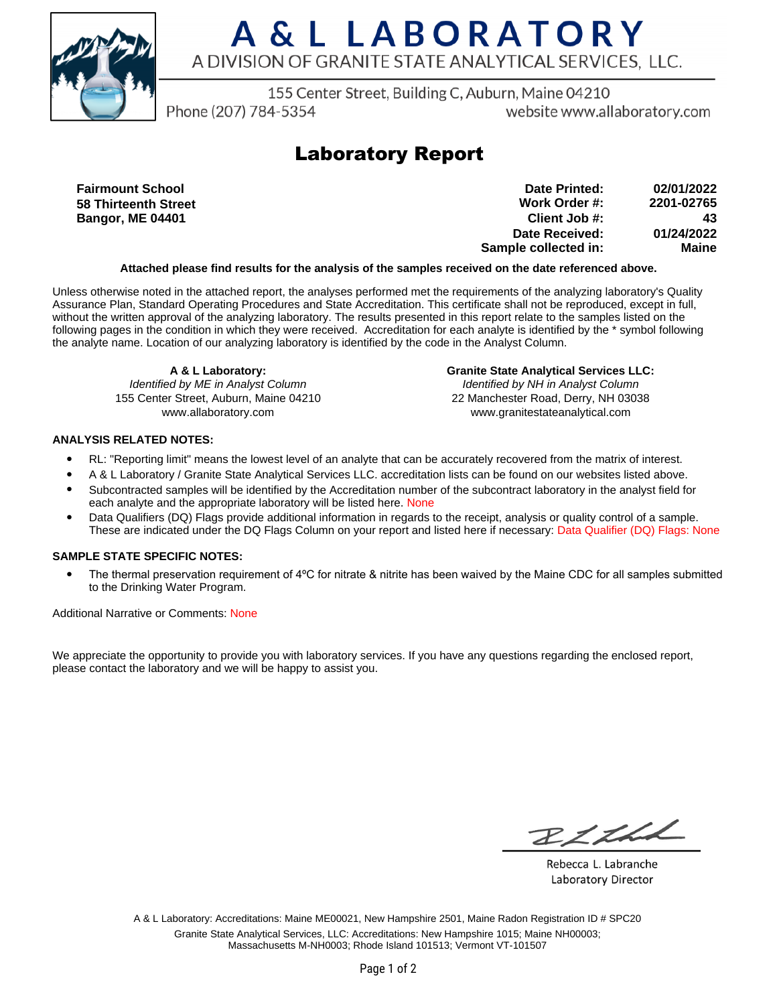

# A & L LABORATORY A DIVISION OF GRANITE STATE ANALYTICAL SERVICES, LLC.

155 Center Street, Building C, Auburn, Maine 04210

Phone (207) 784-5354

website www.allaboratory.com

### **Laboratory Report**

**Fairmount School 58 Thirteenth Street Bangor, ME 04401**

**Work Order #: Client Job #: Date Received: Sample collected in: 2201-02765 43 01/24/2022 Maine Date Printed: 02/01/2022**

### **Attached please find results for the analysis of the samples received on the date referenced above.**

Unless otherwise noted in the attached report, the analyses performed met the requirements of the analyzing laboratory's Quality Assurance Plan, Standard Operating Procedures and State Accreditation. This certificate shall not be reproduced, except in full, without the written approval of the analyzing laboratory. The results presented in this report relate to the samples listed on the following pages in the condition in which they were received. Accreditation for each analyte is identified by the \* symbol following the analyte name. Location of our analyzing laboratory is identified by the code in the Analyst Column.

**A & L Laboratory:** Identified by ME in Analyst Column 155 Center Street, Auburn, Maine 04210 www.allaboratory.com

**Granite State Analytical Services LLC:** Identified by NH in Analyst Column 22 Manchester Road, Derry, NH 03038 www.granitestateanalytical.com

### **ANALYSIS RELATED NOTES:**

- RL: "Reporting limit" means the lowest level of an analyte that can be accurately recovered from the matrix of interest.
- A & L Laboratory / Granite State Analytical Services LLC. accreditation lists can be found on our websites listed above.
- Subcontracted samples will be identified by the Accreditation number of the subcontract laboratory in the analyst field for each analyte and the appropriate laboratory will be listed here. None
- Data Qualifiers (DQ) Flags provide additional information in regards to the receipt, analysis or quality control of a sample. These are indicated under the DQ Flags Column on your report and listed here if necessary: Data Qualifier (DQ) Flags: None

#### **SAMPLE STATE SPECIFIC NOTES:**

• The thermal preservation requirement of 4°C for nitrate & nitrite has been waived by the Maine CDC for all samples submitted to the Drinking Water Program.

Additional Narrative or Comments: None

We appreciate the opportunity to provide you with laboratory services. If you have any questions regarding the enclosed report, please contact the laboratory and we will be happy to assist you.

RICHL

Rebecca L. Labranche Laboratory Director

A & L Laboratory: Accreditations: Maine ME00021, New Hampshire 2501, Maine Radon Registration ID # SPC20 Granite State Analytical Services, LLC: Accreditations: New Hampshire 1015; Maine NH00003; Massachusetts M-NH0003; Rhode Island 101513; Vermont VT-101507